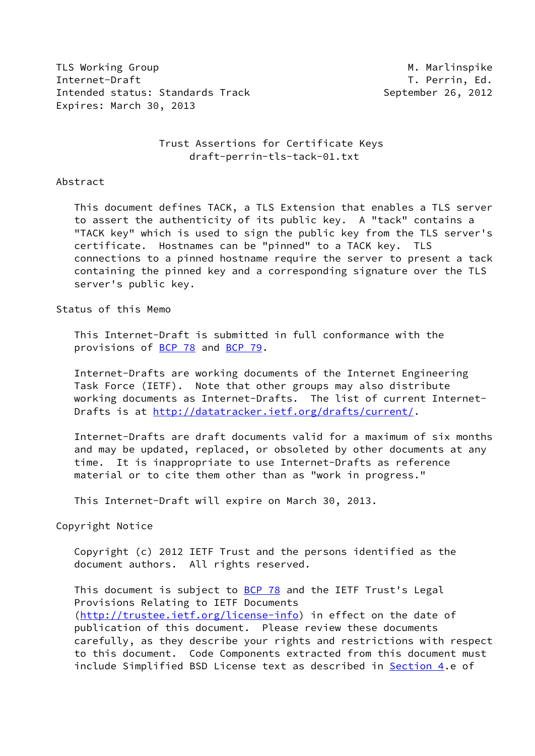TLS Working Group Manual Muslim Communication of the Manual Muslim Muslim Muslim Muslim Muslim Muslim Muslim Mu Internet-Draft T. Perrin, Ed. Intended status: Standards Track September 26, 2012 Expires: March 30, 2013

### Trust Assertions for Certificate Keys draft-perrin-tls-tack-01.txt

### Abstract

 This document defines TACK, a TLS Extension that enables a TLS server to assert the authenticity of its public key. A "tack" contains a "TACK key" which is used to sign the public key from the TLS server's certificate. Hostnames can be "pinned" to a TACK key. TLS connections to a pinned hostname require the server to present a tack containing the pinned key and a corresponding signature over the TLS server's public key.

Status of this Memo

 This Internet-Draft is submitted in full conformance with the provisions of [BCP 78](https://datatracker.ietf.org/doc/pdf/bcp78) and [BCP 79](https://datatracker.ietf.org/doc/pdf/bcp79).

 Internet-Drafts are working documents of the Internet Engineering Task Force (IETF). Note that other groups may also distribute working documents as Internet-Drafts. The list of current Internet Drafts is at<http://datatracker.ietf.org/drafts/current/>.

 Internet-Drafts are draft documents valid for a maximum of six months and may be updated, replaced, or obsoleted by other documents at any time. It is inappropriate to use Internet-Drafts as reference material or to cite them other than as "work in progress."

This Internet-Draft will expire on March 30, 2013.

Copyright Notice

 Copyright (c) 2012 IETF Trust and the persons identified as the document authors. All rights reserved.

This document is subject to **[BCP 78](https://datatracker.ietf.org/doc/pdf/bcp78)** and the IETF Trust's Legal Provisions Relating to IETF Documents [\(http://trustee.ietf.org/license-info](http://trustee.ietf.org/license-info)) in effect on the date of publication of this document. Please review these documents carefully, as they describe your rights and restrictions with respect to this document. Code Components extracted from this document must include Simplified BSD License text as described in [Section 4.](#page-6-0)e of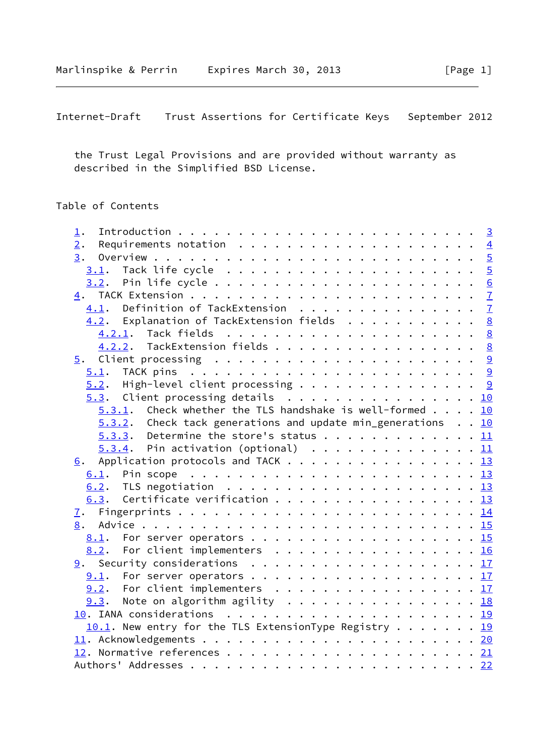the Trust Legal Provisions and are provided without warranty as described in the Simplified BSD License.

# Table of Contents

| $\perp$ .                                                   |  |  |
|-------------------------------------------------------------|--|--|
| 2.                                                          |  |  |
| 3.                                                          |  |  |
|                                                             |  |  |
|                                                             |  |  |
|                                                             |  |  |
| $\underline{4.1}$ . Definition of TackExtension 7           |  |  |
| 4.2. Explanation of TackExtension fields 8                  |  |  |
|                                                             |  |  |
| 4.2.2. TackExtension fields 8                               |  |  |
|                                                             |  |  |
|                                                             |  |  |
| $5.2$ . High-level client processing 9                      |  |  |
| $5.3.$ Client processing details 10                         |  |  |
| $5.3.1$ . Check whether the TLS handshake is well-formed 10 |  |  |
| 5.3.2. Check tack generations and update min_generations 10 |  |  |
| $5.3.3.$ Determine the store's status 11                    |  |  |
| $5.3.4$ . Pin activation (optional) 11                      |  |  |
| Application protocols and TACK 13<br><u>6</u> .             |  |  |
|                                                             |  |  |
|                                                             |  |  |
| 6.3. Certificate verification 13                            |  |  |
|                                                             |  |  |
|                                                             |  |  |
|                                                             |  |  |
| 8.2. For client implementers 16                             |  |  |
| 9. Security considerations 17                               |  |  |
| 9.1. For server operators 17                                |  |  |
| 9.2. For client implementers 17                             |  |  |
| $9.3$ . Note on algorithm agility 18                        |  |  |
|                                                             |  |  |
| 10.1. New entry for the TLS ExtensionType Registry 19       |  |  |
|                                                             |  |  |
|                                                             |  |  |
|                                                             |  |  |
|                                                             |  |  |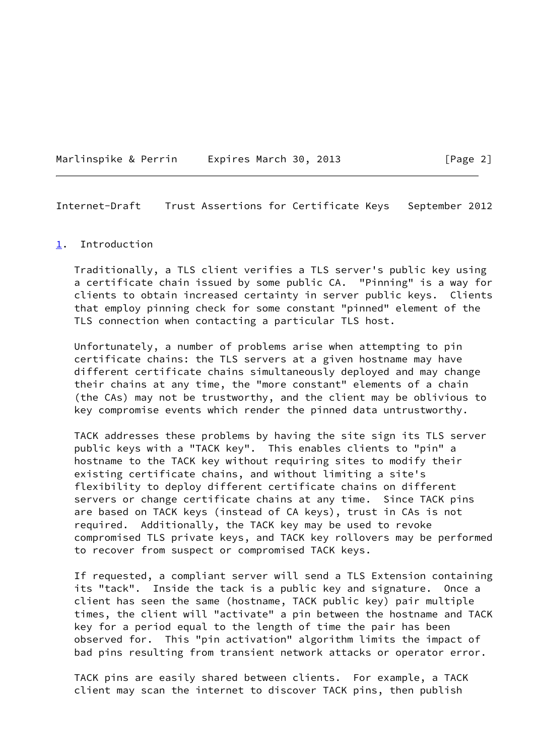Marlinspike & Perrin Expires March 30, 2013 [Page 2]

<span id="page-2-1"></span>Internet-Draft Trust Assertions for Certificate Keys September 2012

### <span id="page-2-0"></span>[1](#page-2-0). Introduction

 Traditionally, a TLS client verifies a TLS server's public key using a certificate chain issued by some public CA. "Pinning" is a way for clients to obtain increased certainty in server public keys. Clients that employ pinning check for some constant "pinned" element of the TLS connection when contacting a particular TLS host.

 Unfortunately, a number of problems arise when attempting to pin certificate chains: the TLS servers at a given hostname may have different certificate chains simultaneously deployed and may change their chains at any time, the "more constant" elements of a chain (the CAs) may not be trustworthy, and the client may be oblivious to key compromise events which render the pinned data untrustworthy.

 TACK addresses these problems by having the site sign its TLS server public keys with a "TACK key". This enables clients to "pin" a hostname to the TACK key without requiring sites to modify their existing certificate chains, and without limiting a site's flexibility to deploy different certificate chains on different servers or change certificate chains at any time. Since TACK pins are based on TACK keys (instead of CA keys), trust in CAs is not required. Additionally, the TACK key may be used to revoke compromised TLS private keys, and TACK key rollovers may be performed to recover from suspect or compromised TACK keys.

 If requested, a compliant server will send a TLS Extension containing its "tack". Inside the tack is a public key and signature. Once a client has seen the same (hostname, TACK public key) pair multiple times, the client will "activate" a pin between the hostname and TACK key for a period equal to the length of time the pair has been observed for. This "pin activation" algorithm limits the impact of bad pins resulting from transient network attacks or operator error.

 TACK pins are easily shared between clients. For example, a TACK client may scan the internet to discover TACK pins, then publish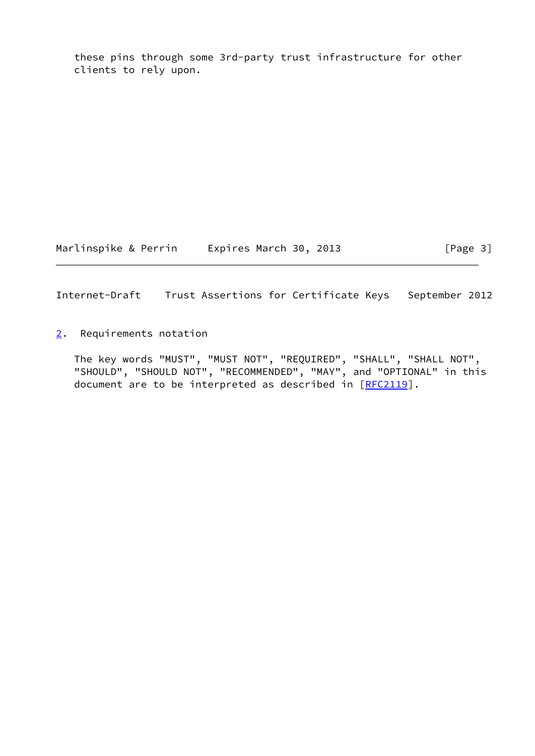these pins through some 3rd-party trust infrastructure for other clients to rely upon.

Marlinspike & Perrin Expires March 30, 2013 [Page 3]

<span id="page-3-1"></span>Internet-Draft Trust Assertions for Certificate Keys September 2012

<span id="page-3-0"></span>[2](#page-3-0). Requirements notation

 The key words "MUST", "MUST NOT", "REQUIRED", "SHALL", "SHALL NOT", "SHOULD", "SHOULD NOT", "RECOMMENDED", "MAY", and "OPTIONAL" in this document are to be interpreted as described in [\[RFC2119](https://datatracker.ietf.org/doc/pdf/rfc2119)].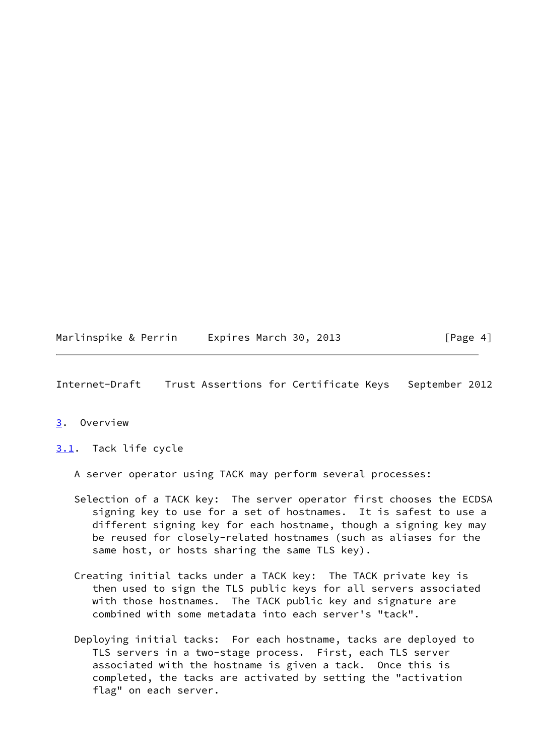Marlinspike & Perrin Expires March 30, 2013 [Page 4]

<span id="page-4-1"></span>Internet-Draft Trust Assertions for Certificate Keys September 2012

- <span id="page-4-0"></span>[3](#page-4-0). Overview
- <span id="page-4-2"></span>[3.1](#page-4-2). Tack life cycle
	- A server operator using TACK may perform several processes:
	- Selection of a TACK key: The server operator first chooses the ECDSA signing key to use for a set of hostnames. It is safest to use a different signing key for each hostname, though a signing key may be reused for closely-related hostnames (such as aliases for the same host, or hosts sharing the same TLS key).
	- Creating initial tacks under a TACK key: The TACK private key is then used to sign the TLS public keys for all servers associated with those hostnames. The TACK public key and signature are combined with some metadata into each server's "tack".
	- Deploying initial tacks: For each hostname, tacks are deployed to TLS servers in a two-stage process. First, each TLS server associated with the hostname is given a tack. Once this is completed, the tacks are activated by setting the "activation flag" on each server.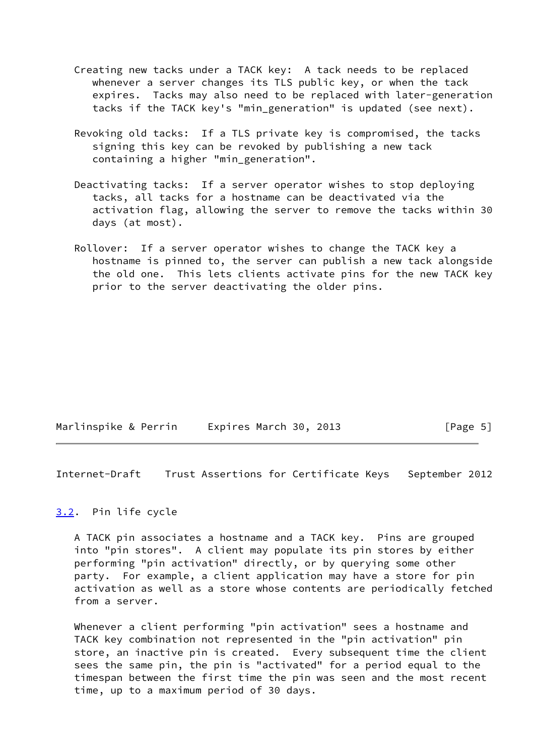- Creating new tacks under a TACK key: A tack needs to be replaced whenever a server changes its TLS public key, or when the tack expires. Tacks may also need to be replaced with later-generation tacks if the TACK key's "min\_generation" is updated (see next).
- Revoking old tacks: If a TLS private key is compromised, the tacks signing this key can be revoked by publishing a new tack containing a higher "min\_generation".
- Deactivating tacks: If a server operator wishes to stop deploying tacks, all tacks for a hostname can be deactivated via the activation flag, allowing the server to remove the tacks within 30 days (at most).
- Rollover: If a server operator wishes to change the TACK key a hostname is pinned to, the server can publish a new tack alongside the old one. This lets clients activate pins for the new TACK key prior to the server deactivating the older pins.

<span id="page-5-1"></span>

| Marlinspike & Perrin | Expires March 30, 2013 | [Page 5] |
|----------------------|------------------------|----------|
|----------------------|------------------------|----------|

## <span id="page-5-0"></span>[3.2](#page-5-0). Pin life cycle

 A TACK pin associates a hostname and a TACK key. Pins are grouped into "pin stores". A client may populate its pin stores by either performing "pin activation" directly, or by querying some other party. For example, a client application may have a store for pin activation as well as a store whose contents are periodically fetched from a server.

 Whenever a client performing "pin activation" sees a hostname and TACK key combination not represented in the "pin activation" pin store, an inactive pin is created. Every subsequent time the client sees the same pin, the pin is "activated" for a period equal to the timespan between the first time the pin was seen and the most recent time, up to a maximum period of 30 days.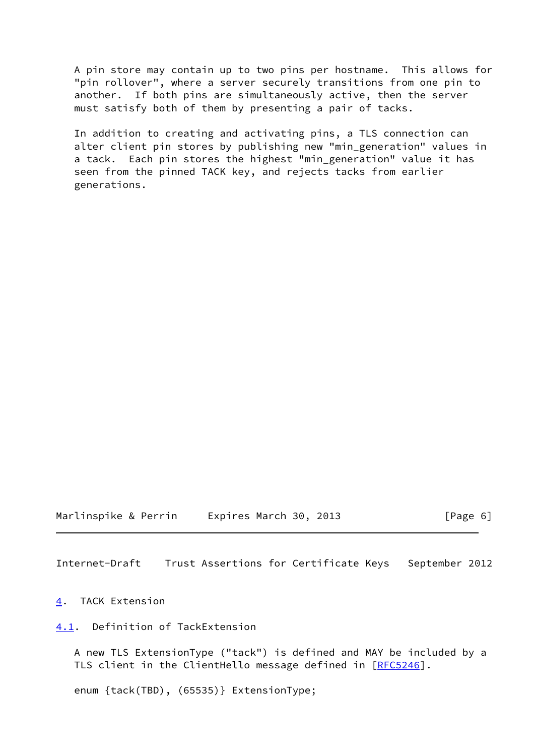A pin store may contain up to two pins per hostname. This allows for "pin rollover", where a server securely transitions from one pin to another. If both pins are simultaneously active, then the server must satisfy both of them by presenting a pair of tacks.

 In addition to creating and activating pins, a TLS connection can alter client pin stores by publishing new "min\_generation" values in a tack. Each pin stores the highest "min\_generation" value it has seen from the pinned TACK key, and rejects tacks from earlier generations.

Marlinspike & Perrin Expires March 30, 2013 [Page 6]

<span id="page-6-1"></span>Internet-Draft Trust Assertions for Certificate Keys September 2012

<span id="page-6-0"></span>[4](#page-6-0). TACK Extension

<span id="page-6-2"></span>[4.1](#page-6-2). Definition of TackExtension

 A new TLS ExtensionType ("tack") is defined and MAY be included by a TLS client in the ClientHello message defined in [\[RFC5246](https://datatracker.ietf.org/doc/pdf/rfc5246)].

enum {tack(TBD), (65535)} ExtensionType;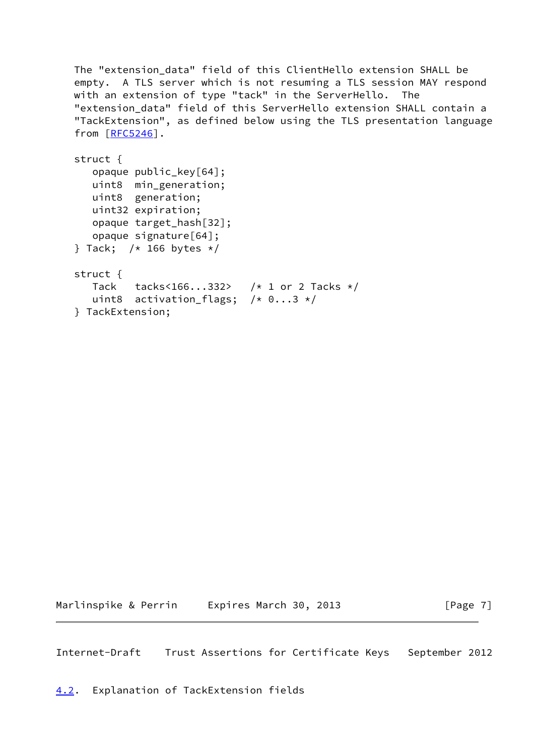The "extension\_data" field of this ClientHello extension SHALL be empty. A TLS server which is not resuming a TLS session MAY respond with an extension of type "tack" in the ServerHello. The "extension\_data" field of this ServerHello extension SHALL contain a "TackExtension", as defined below using the TLS presentation language from [\[RFC5246](https://datatracker.ietf.org/doc/pdf/rfc5246)].

| struct {                              |  |
|---------------------------------------|--|
| opaque $public_{key}[64];$            |  |
| uint8 min_generation;                 |  |
| uint8 generation;                     |  |
| uint32 expiration;                    |  |
| opaque target_hash[32];               |  |
| opaque signature $[64]$ ;             |  |
| } Tack; /* 166 bytes */               |  |
| struct $\{$                           |  |
| Tack tacks<166332> /* 1 or 2 Tacks */ |  |
| uint8 activation_flags; $/* 03*/$     |  |
| TackExtension;                        |  |

Marlinspike & Perrin Expires March 30, 2013 [Page 7]

<span id="page-7-1"></span>Internet-Draft Trust Assertions for Certificate Keys September 2012

<span id="page-7-0"></span>[4.2](#page-7-0). Explanation of TackExtension fields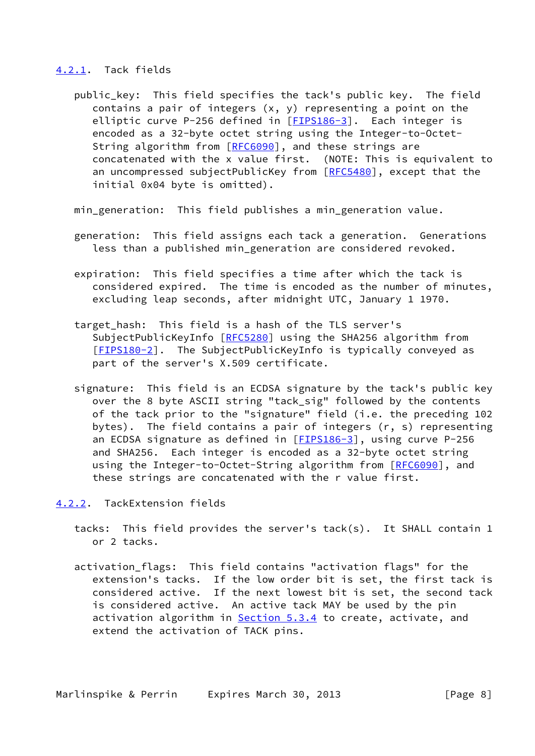### <span id="page-8-0"></span>[4.2.1](#page-8-0). Tack fields

 public\_key: This field specifies the tack's public key. The field contains a pair of integers (x, y) representing a point on the elliptic curve P-256 defined in [[FIPS186-3\]](#page-22-2). Each integer is encoded as a 32-byte octet string using the Integer-to-Octet- String algorithm from [\[RFC6090](https://datatracker.ietf.org/doc/pdf/rfc6090)], and these strings are concatenated with the x value first. (NOTE: This is equivalent to an uncompressed subjectPublicKey from [\[RFC5480](https://datatracker.ietf.org/doc/pdf/rfc5480)], except that the initial 0x04 byte is omitted).

min\_generation: This field publishes a min\_generation value.

- generation: This field assigns each tack a generation. Generations less than a published min generation are considered revoked.
- expiration: This field specifies a time after which the tack is considered expired. The time is encoded as the number of minutes, excluding leap seconds, after midnight UTC, January 1 1970.
- target\_hash: This field is a hash of the TLS server's SubjectPublicKeyInfo [\[RFC5280](https://datatracker.ietf.org/doc/pdf/rfc5280)] using the SHA256 algorithm from [[FIPS180-2\]](#page-22-3). The SubjectPublicKeyInfo is typically conveyed as part of the server's X.509 certificate.
- signature: This field is an ECDSA signature by the tack's public key over the 8 byte ASCII string "tack\_sig" followed by the contents of the tack prior to the "signature" field (i.e. the preceding 102 bytes). The field contains a pair of integers (r, s) representing an ECDSA signature as defined in [\[FIPS186-3](#page-22-2)], using curve P-256 and SHA256. Each integer is encoded as a 32-byte octet string using the Integer-to-Octet-String algorithm from [\[RFC6090](https://datatracker.ietf.org/doc/pdf/rfc6090)], and these strings are concatenated with the r value first.

<span id="page-8-1"></span>[4.2.2](#page-8-1). TackExtension fields

- tacks: This field provides the server's tack(s). It SHALL contain 1 or 2 tacks.
- activation\_flags: This field contains "activation flags" for the extension's tacks. If the low order bit is set, the first tack is considered active. If the next lowest bit is set, the second tack is considered active. An active tack MAY be used by the pin activation algorithm in [Section 5.3.4](#page-11-3) to create, activate, and extend the activation of TACK pins.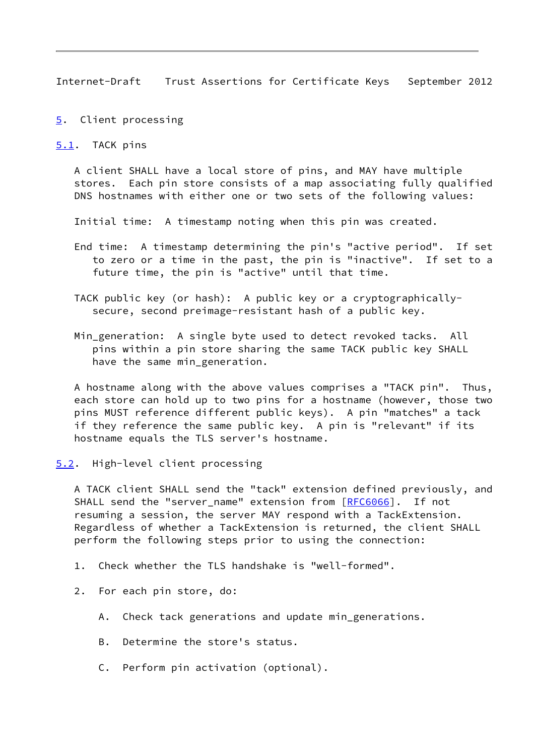<span id="page-9-1"></span><span id="page-9-0"></span>[5](#page-9-0). Client processing

<span id="page-9-2"></span>[5.1](#page-9-2). TACK pins

 A client SHALL have a local store of pins, and MAY have multiple stores. Each pin store consists of a map associating fully qualified DNS hostnames with either one or two sets of the following values:

Initial time: A timestamp noting when this pin was created.

- End time: A timestamp determining the pin's "active period". If set to zero or a time in the past, the pin is "inactive". If set to a future time, the pin is "active" until that time.
- TACK public key (or hash): A public key or a cryptographically secure, second preimage-resistant hash of a public key.
- Min\_generation: A single byte used to detect revoked tacks. All pins within a pin store sharing the same TACK public key SHALL have the same min\_generation.

 A hostname along with the above values comprises a "TACK pin". Thus, each store can hold up to two pins for a hostname (however, those two pins MUST reference different public keys). A pin "matches" a tack if they reference the same public key. A pin is "relevant" if its hostname equals the TLS server's hostname.

<span id="page-9-3"></span>[5.2](#page-9-3). High-level client processing

 A TACK client SHALL send the "tack" extension defined previously, and SHALL send the "server\_name" extension from [\[RFC6066](https://datatracker.ietf.org/doc/pdf/rfc6066)]. If not resuming a session, the server MAY respond with a TackExtension. Regardless of whether a TackExtension is returned, the client SHALL perform the following steps prior to using the connection:

- 1. Check whether the TLS handshake is "well-formed".
- 2. For each pin store, do:
	- A. Check tack generations and update min\_generations.
	- B. Determine the store's status.
	- C. Perform pin activation (optional).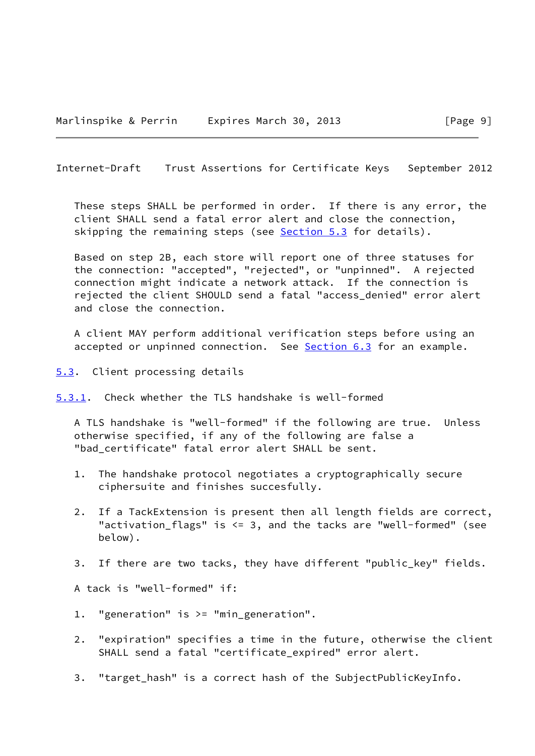<span id="page-10-1"></span> These steps SHALL be performed in order. If there is any error, the client SHALL send a fatal error alert and close the connection, skipping the remaining steps (see **Section 5.3** for details).

 Based on step 2B, each store will report one of three statuses for the connection: "accepted", "rejected", or "unpinned". A rejected connection might indicate a network attack. If the connection is rejected the client SHOULD send a fatal "access\_denied" error alert and close the connection.

 A client MAY perform additional verification steps before using an accepted or unpinned connection. See [Section 6.3](#page-13-4) for an example.

- <span id="page-10-0"></span>[5.3](#page-10-0). Client processing details
- <span id="page-10-2"></span>[5.3.1](#page-10-2). Check whether the TLS handshake is well-formed

 A TLS handshake is "well-formed" if the following are true. Unless otherwise specified, if any of the following are false a "bad\_certificate" fatal error alert SHALL be sent.

- 1. The handshake protocol negotiates a cryptographically secure ciphersuite and finishes succesfully.
- 2. If a TackExtension is present then all length fields are correct, "activation\_flags" is <= 3, and the tacks are "well-formed" (see below).
- 3. If there are two tacks, they have different "public\_key" fields.

A tack is "well-formed" if:

- 1. "generation" is >= "min\_generation".
- 2. "expiration" specifies a time in the future, otherwise the client SHALL send a fatal "certificate\_expired" error alert.
- 3. "target\_hash" is a correct hash of the SubjectPublicKeyInfo.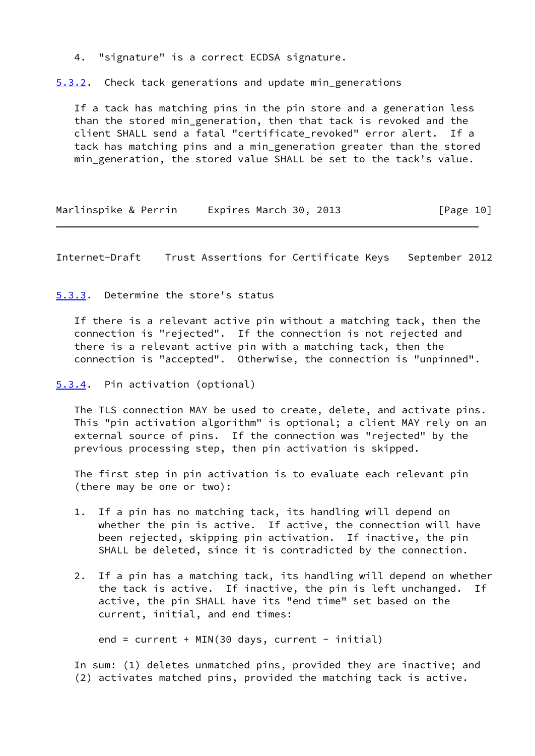4. "signature" is a correct ECDSA signature.

<span id="page-11-0"></span>[5.3.2](#page-11-0). Check tack generations and update min\_generations

 If a tack has matching pins in the pin store and a generation less than the stored min\_generation, then that tack is revoked and the client SHALL send a fatal "certificate revoked" error alert. If a tack has matching pins and a min\_generation greater than the stored min\_generation, the stored value SHALL be set to the tack's value.

Marlinspike & Perrin Expires March 30, 2013 [Page 10]

<span id="page-11-2"></span>Internet-Draft Trust Assertions for Certificate Keys September 2012

<span id="page-11-1"></span>[5.3.3](#page-11-1). Determine the store's status

 If there is a relevant active pin without a matching tack, then the connection is "rejected". If the connection is not rejected and there is a relevant active pin with a matching tack, then the connection is "accepted". Otherwise, the connection is "unpinned".

### <span id="page-11-3"></span>[5.3.4](#page-11-3). Pin activation (optional)

 The TLS connection MAY be used to create, delete, and activate pins. This "pin activation algorithm" is optional; a client MAY rely on an external source of pins. If the connection was "rejected" by the previous processing step, then pin activation is skipped.

 The first step in pin activation is to evaluate each relevant pin (there may be one or two):

- 1. If a pin has no matching tack, its handling will depend on whether the pin is active. If active, the connection will have been rejected, skipping pin activation. If inactive, the pin SHALL be deleted, since it is contradicted by the connection.
- 2. If a pin has a matching tack, its handling will depend on whether the tack is active. If inactive, the pin is left unchanged. If active, the pin SHALL have its "end time" set based on the current, initial, and end times:

end = current +  $MIN(30 \text{ days}, \text{ current - initial})$ 

 In sum: (1) deletes unmatched pins, provided they are inactive; and (2) activates matched pins, provided the matching tack is active.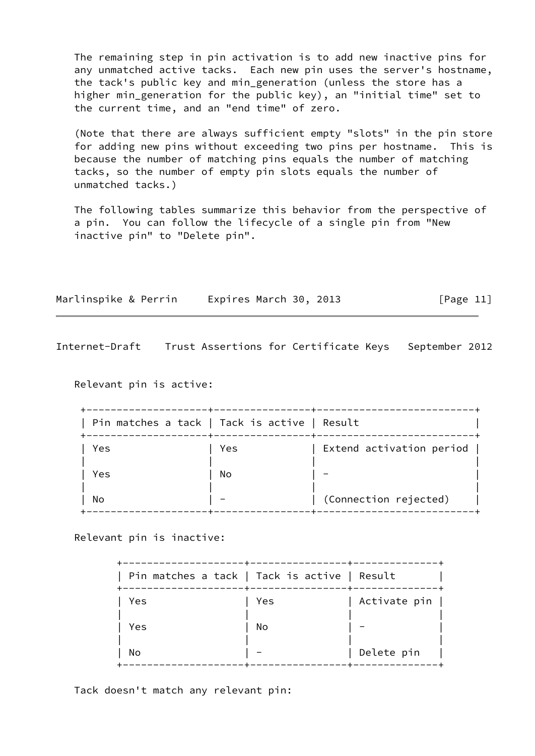The remaining step in pin activation is to add new inactive pins for any unmatched active tacks. Each new pin uses the server's hostname, the tack's public key and min\_generation (unless the store has a higher min\_generation for the public key), an "initial time" set to the current time, and an "end time" of zero.

 (Note that there are always sufficient empty "slots" in the pin store for adding new pins without exceeding two pins per hostname. This is because the number of matching pins equals the number of matching tacks, so the number of empty pin slots equals the number of unmatched tacks.)

 The following tables summarize this behavior from the perspective of a pin. You can follow the lifecycle of a single pin from "New inactive pin" to "Delete pin".

| Marlinspike & Perrin | Expires March 30, 2013 | [Page 11] |
|----------------------|------------------------|-----------|
|----------------------|------------------------|-----------|

Internet-Draft Trust Assertions for Certificate Keys September 2012

Relevant pin is active:

| Pin matches a tack   Tack is active   Result |     |                          |
|----------------------------------------------|-----|--------------------------|
| Yes                                          | Yes | Extend activation period |
| Yes                                          | No  |                          |
| No                                           |     | (Connection rejected)    |

Relevant pin is inactive:

| Pin matches a tack   Tack is active   Result |     |              |
|----------------------------------------------|-----|--------------|
| Yes                                          | Yes | Activate pin |
| Yes                                          | No  |              |
| No                                           |     | Delete pin   |

Tack doesn't match any relevant pin: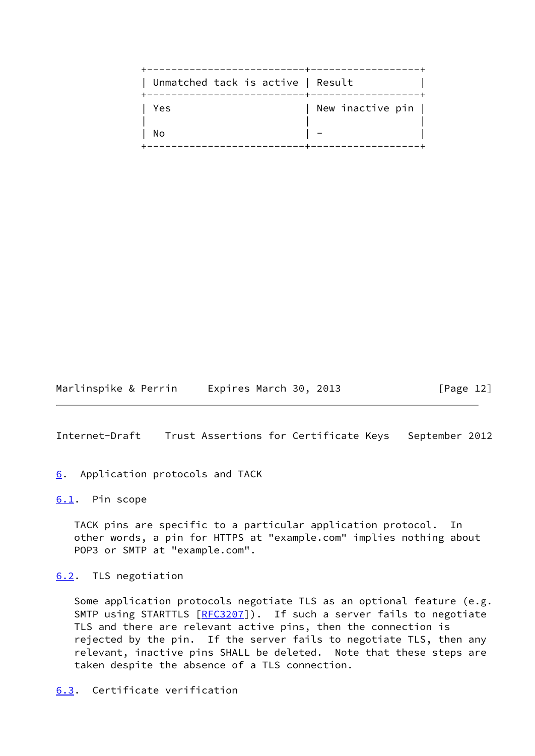| Unmatched tack is active   Result |                  |  |
|-----------------------------------|------------------|--|
| Yes                               | New inactive pin |  |
| No                                |                  |  |

Marlinspike & Perrin Expires March 30, 2013 [Page 12]

<span id="page-13-1"></span>Internet-Draft Trust Assertions for Certificate Keys September 2012

<span id="page-13-0"></span>[6](#page-13-0). Application protocols and TACK

<span id="page-13-2"></span>[6.1](#page-13-2). Pin scope

 TACK pins are specific to a particular application protocol. In other words, a pin for HTTPS at "example.com" implies nothing about POP3 or SMTP at "example.com".

<span id="page-13-3"></span>[6.2](#page-13-3). TLS negotiation

 Some application protocols negotiate TLS as an optional feature (e.g. SMTP using STARTTLS [\[RFC3207](https://datatracker.ietf.org/doc/pdf/rfc3207)]). If such a server fails to negotiate TLS and there are relevant active pins, then the connection is rejected by the pin. If the server fails to negotiate TLS, then any relevant, inactive pins SHALL be deleted. Note that these steps are taken despite the absence of a TLS connection.

<span id="page-13-4"></span>[6.3](#page-13-4). Certificate verification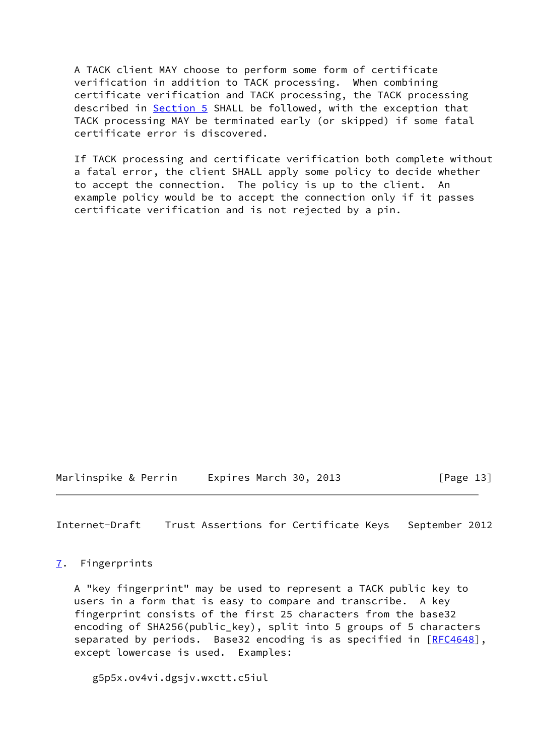A TACK client MAY choose to perform some form of certificate verification in addition to TACK processing. When combining certificate verification and TACK processing, the TACK processing described in [Section 5](#page-9-0) SHALL be followed, with the exception that TACK processing MAY be terminated early (or skipped) if some fatal certificate error is discovered.

 If TACK processing and certificate verification both complete without a fatal error, the client SHALL apply some policy to decide whether to accept the connection. The policy is up to the client. An example policy would be to accept the connection only if it passes certificate verification and is not rejected by a pin.

Marlinspike & Perrin Expires March 30, 2013 [Page 13]

<span id="page-14-1"></span>Internet-Draft Trust Assertions for Certificate Keys September 2012

### <span id="page-14-0"></span>[7](#page-14-0). Fingerprints

 A "key fingerprint" may be used to represent a TACK public key to users in a form that is easy to compare and transcribe. A key fingerprint consists of the first 25 characters from the base32 encoding of SHA256(public\_key), split into 5 groups of 5 characters separated by periods. Base32 encoding is as specified in [[RFC4648](https://datatracker.ietf.org/doc/pdf/rfc4648)], except lowercase is used. Examples:

g5p5x.ov4vi.dgsjv.wxctt.c5iul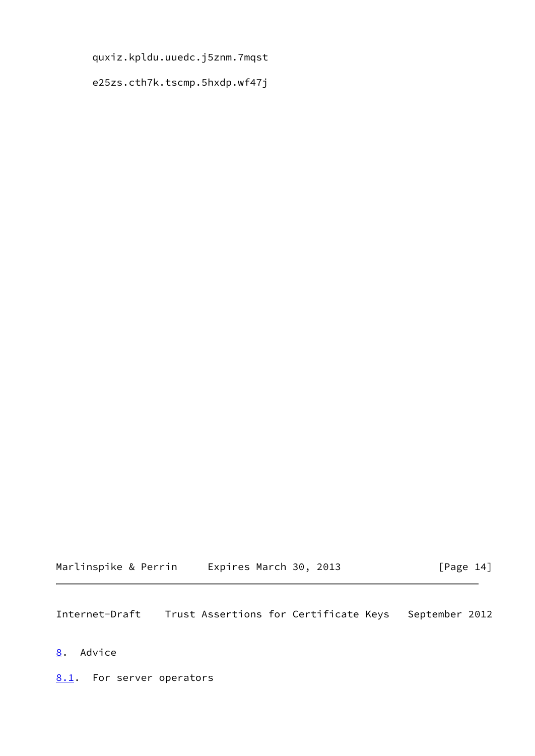quxiz.kpldu.uuedc.j5znm.7mqst

e25zs.cth7k.tscmp.5hxdp.wf47j

Marlinspike & Perrin Expires March 30, 2013 [Page 14]

<span id="page-15-1"></span>Internet-Draft Trust Assertions for Certificate Keys September 2012

- <span id="page-15-0"></span>[8](#page-15-0). Advice
- <span id="page-15-2"></span>[8.1](#page-15-2). For server operators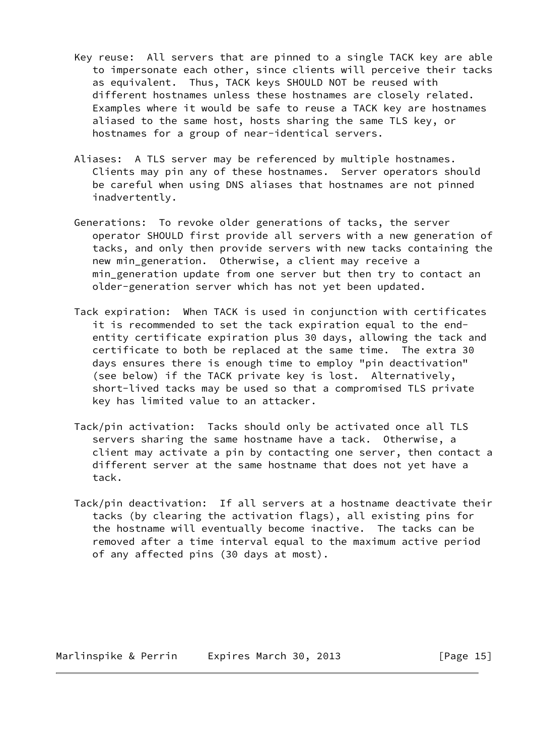- Key reuse: All servers that are pinned to a single TACK key are able to impersonate each other, since clients will perceive their tacks as equivalent. Thus, TACK keys SHOULD NOT be reused with different hostnames unless these hostnames are closely related. Examples where it would be safe to reuse a TACK key are hostnames aliased to the same host, hosts sharing the same TLS key, or hostnames for a group of near-identical servers.
- Aliases: A TLS server may be referenced by multiple hostnames. Clients may pin any of these hostnames. Server operators should be careful when using DNS aliases that hostnames are not pinned inadvertently.
- Generations: To revoke older generations of tacks, the server operator SHOULD first provide all servers with a new generation of tacks, and only then provide servers with new tacks containing the new min\_generation. Otherwise, a client may receive a min\_generation update from one server but then try to contact an older-generation server which has not yet been updated.
- Tack expiration: When TACK is used in conjunction with certificates it is recommended to set the tack expiration equal to the end entity certificate expiration plus 30 days, allowing the tack and certificate to both be replaced at the same time. The extra 30 days ensures there is enough time to employ "pin deactivation" (see below) if the TACK private key is lost. Alternatively, short-lived tacks may be used so that a compromised TLS private key has limited value to an attacker.
- Tack/pin activation: Tacks should only be activated once all TLS servers sharing the same hostname have a tack. Otherwise, a client may activate a pin by contacting one server, then contact a different server at the same hostname that does not yet have a tack.
- Tack/pin deactivation: If all servers at a hostname deactivate their tacks (by clearing the activation flags), all existing pins for the hostname will eventually become inactive. The tacks can be removed after a time interval equal to the maximum active period of any affected pins (30 days at most).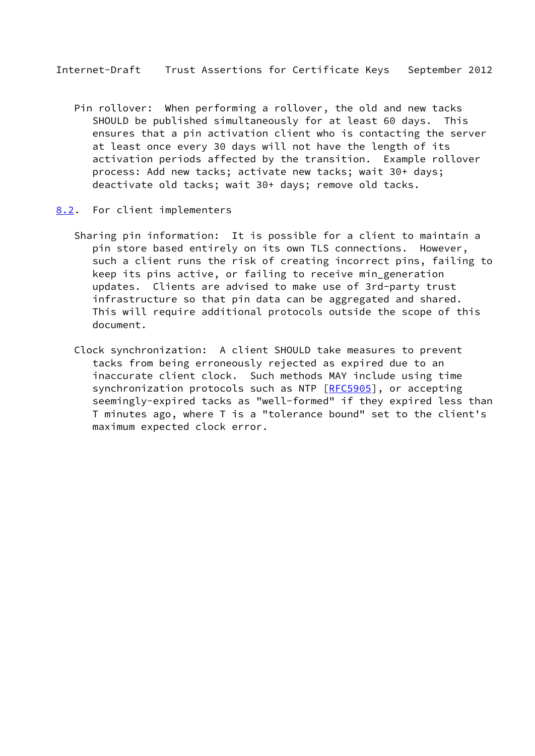- <span id="page-17-1"></span> Pin rollover: When performing a rollover, the old and new tacks SHOULD be published simultaneously for at least 60 days. This ensures that a pin activation client who is contacting the server at least once every 30 days will not have the length of its activation periods affected by the transition. Example rollover process: Add new tacks; activate new tacks; wait 30+ days; deactivate old tacks; wait 30+ days; remove old tacks.
- <span id="page-17-0"></span>[8.2](#page-17-0). For client implementers
	- Sharing pin information: It is possible for a client to maintain a pin store based entirely on its own TLS connections. However, such a client runs the risk of creating incorrect pins, failing to keep its pins active, or failing to receive min\_generation updates. Clients are advised to make use of 3rd-party trust infrastructure so that pin data can be aggregated and shared. This will require additional protocols outside the scope of this document.
	- Clock synchronization: A client SHOULD take measures to prevent tacks from being erroneously rejected as expired due to an inaccurate client clock. Such methods MAY include using time synchronization protocols such as NTP [\[RFC5905](https://datatracker.ietf.org/doc/pdf/rfc5905)], or accepting seemingly-expired tacks as "well-formed" if they expired less than T minutes ago, where T is a "tolerance bound" set to the client's maximum expected clock error.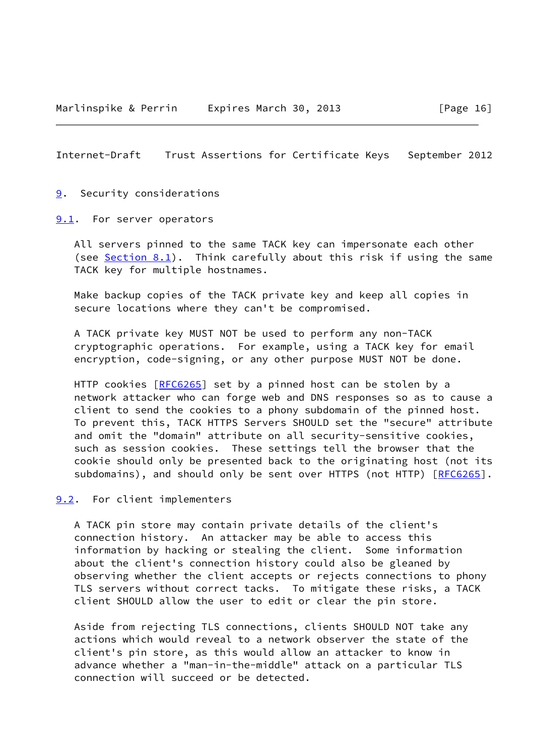<span id="page-18-1"></span><span id="page-18-0"></span>[9](#page-18-0). Security considerations

<span id="page-18-2"></span>[9.1](#page-18-2). For server operators

 All servers pinned to the same TACK key can impersonate each other (see Section  $8.1$ ). Think carefully about this risk if using the same TACK key for multiple hostnames.

 Make backup copies of the TACK private key and keep all copies in secure locations where they can't be compromised.

 A TACK private key MUST NOT be used to perform any non-TACK cryptographic operations. For example, using a TACK key for email encryption, code-signing, or any other purpose MUST NOT be done.

 HTTP cookies [\[RFC6265](https://datatracker.ietf.org/doc/pdf/rfc6265)] set by a pinned host can be stolen by a network attacker who can forge web and DNS responses so as to cause a client to send the cookies to a phony subdomain of the pinned host. To prevent this, TACK HTTPS Servers SHOULD set the "secure" attribute and omit the "domain" attribute on all security-sensitive cookies, such as session cookies. These settings tell the browser that the cookie should only be presented back to the originating host (not its subdomains), and should only be sent over HTTPS (not HTTP) [[RFC6265\]](https://datatracker.ietf.org/doc/pdf/rfc6265).

<span id="page-18-3"></span>[9.2](#page-18-3). For client implementers

 A TACK pin store may contain private details of the client's connection history. An attacker may be able to access this information by hacking or stealing the client. Some information about the client's connection history could also be gleaned by observing whether the client accepts or rejects connections to phony TLS servers without correct tacks. To mitigate these risks, a TACK client SHOULD allow the user to edit or clear the pin store.

 Aside from rejecting TLS connections, clients SHOULD NOT take any actions which would reveal to a network observer the state of the client's pin store, as this would allow an attacker to know in advance whether a "man-in-the-middle" attack on a particular TLS connection will succeed or be detected.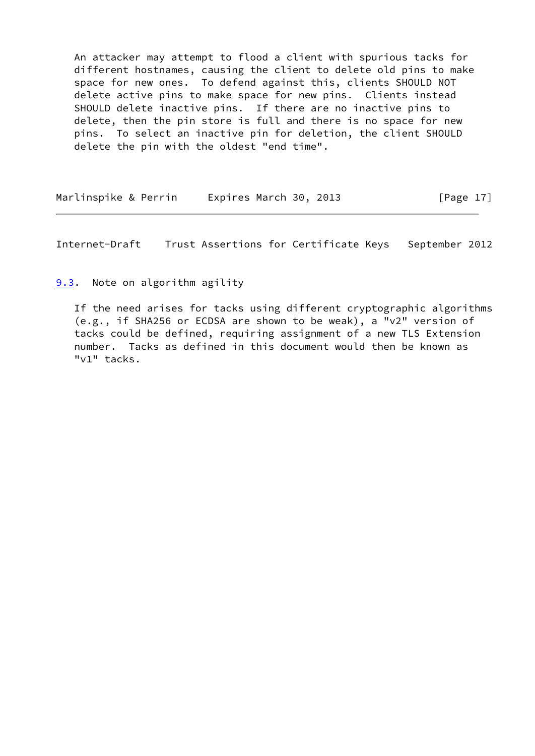An attacker may attempt to flood a client with spurious tacks for different hostnames, causing the client to delete old pins to make space for new ones. To defend against this, clients SHOULD NOT delete active pins to make space for new pins. Clients instead SHOULD delete inactive pins. If there are no inactive pins to delete, then the pin store is full and there is no space for new pins. To select an inactive pin for deletion, the client SHOULD delete the pin with the oldest "end time".

Marlinspike & Perrin Expires March 30, 2013 [Page 17]

<span id="page-19-1"></span>Internet-Draft Trust Assertions for Certificate Keys September 2012

<span id="page-19-0"></span>[9.3](#page-19-0). Note on algorithm agility

 If the need arises for tacks using different cryptographic algorithms (e.g., if SHA256 or ECDSA are shown to be weak), a "v2" version of tacks could be defined, requiring assignment of a new TLS Extension number. Tacks as defined in this document would then be known as "v1" tacks.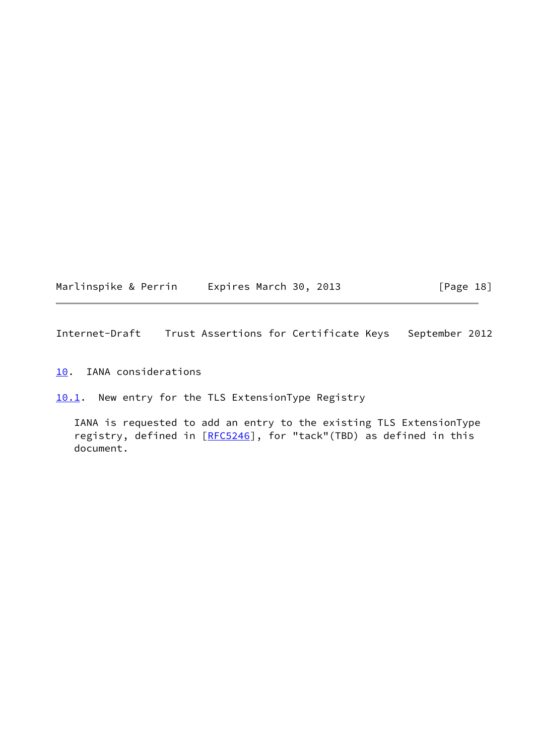<span id="page-20-1"></span>

|  | Marlinspike & Perrin |  | Expires March 30, 2013 |  |  |  |
|--|----------------------|--|------------------------|--|--|--|
|--|----------------------|--|------------------------|--|--|--|

```
[Page 18]
```
<span id="page-20-0"></span>[10.](#page-20-0) IANA considerations

<span id="page-20-2"></span>[10.1](#page-20-2). New entry for the TLS ExtensionType Registry

 IANA is requested to add an entry to the existing TLS ExtensionType registry, defined in [\[RFC5246](https://datatracker.ietf.org/doc/pdf/rfc5246)], for "tack"(TBD) as defined in this document.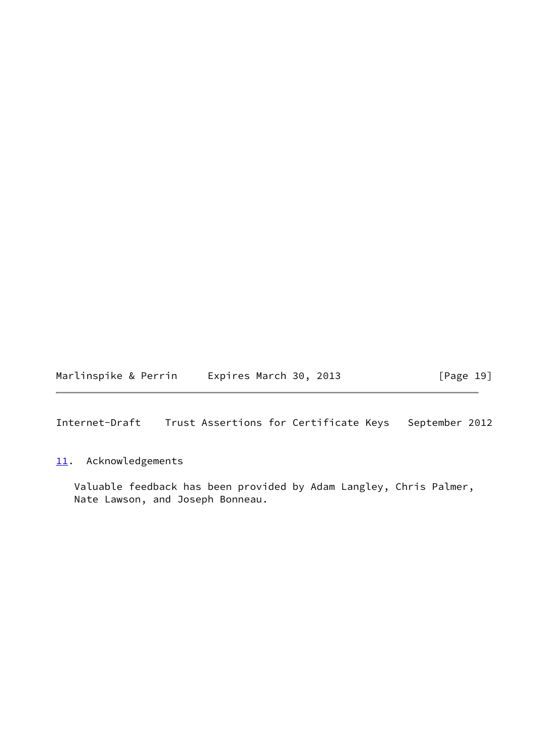Marlinspike & Perrin Expires March 30, 2013 [Page 19]

<span id="page-21-1"></span>Internet-Draft Trust Assertions for Certificate Keys September 2012

<span id="page-21-0"></span>[11.](#page-21-0) Acknowledgements

 Valuable feedback has been provided by Adam Langley, Chris Palmer, Nate Lawson, and Joseph Bonneau.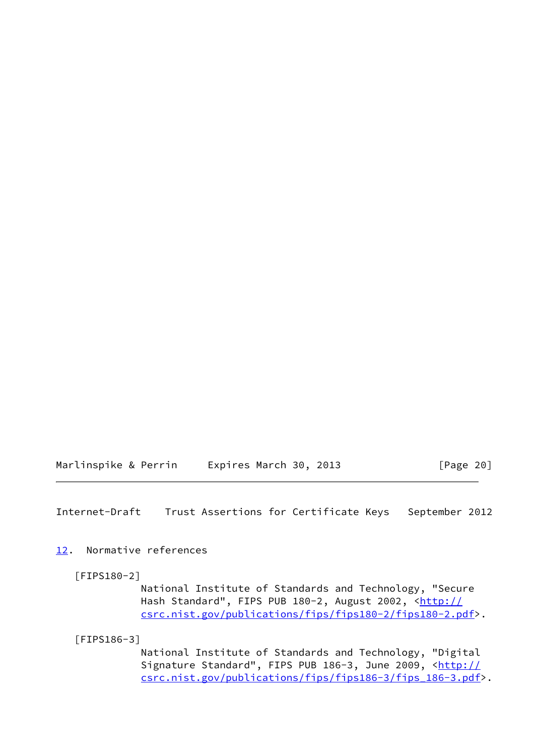Marlinspike & Perrin Expires March 30, 2013 [Page 20]

<span id="page-22-1"></span>Internet-Draft Trust Assertions for Certificate Keys September 2012

<span id="page-22-0"></span>[12.](#page-22-0) Normative references

<span id="page-22-3"></span>[FIPS180-2]

 National Institute of Standards and Technology, "Secure Hash Standard", FIPS PUB 180-2, August 2002, [<http://](http://csrc.nist.gov/publications/fips/fips180-2/fips180-2.pdf) [csrc.nist.gov/publications/fips/fips180-2/fips180-2.pdf](http://csrc.nist.gov/publications/fips/fips180-2/fips180-2.pdf)>.

<span id="page-22-2"></span>[FIPS186-3]

 National Institute of Standards and Technology, "Digital Signature Standard", FIPS PUB 186-3, June 2009, <[http://](http://csrc.nist.gov/publications/fips/fips186-3/fips_186-3.pdf) [csrc.nist.gov/publications/fips/fips186-3/fips\\_186-3.pdf>](http://csrc.nist.gov/publications/fips/fips186-3/fips_186-3.pdf).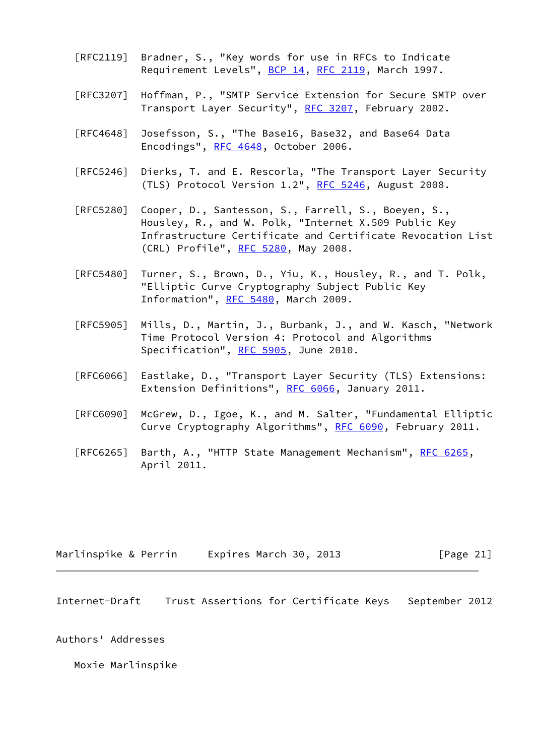- [RFC2119] Bradner, S., "Key words for use in RFCs to Indicate Requirement Levels", [BCP 14](https://datatracker.ietf.org/doc/pdf/bcp14), [RFC 2119](https://datatracker.ietf.org/doc/pdf/rfc2119), March 1997.
- [RFC3207] Hoffman, P., "SMTP Service Extension for Secure SMTP over Transport Layer Security", [RFC 3207](https://datatracker.ietf.org/doc/pdf/rfc3207), February 2002.
- [RFC4648] Josefsson, S., "The Base16, Base32, and Base64 Data Encodings", [RFC 4648,](https://datatracker.ietf.org/doc/pdf/rfc4648) October 2006.
- [RFC5246] Dierks, T. and E. Rescorla, "The Transport Layer Security (TLS) Protocol Version 1.2", [RFC 5246](https://datatracker.ietf.org/doc/pdf/rfc5246), August 2008.
- [RFC5280] Cooper, D., Santesson, S., Farrell, S., Boeyen, S., Housley, R., and W. Polk, "Internet X.509 Public Key Infrastructure Certificate and Certificate Revocation List (CRL) Profile", [RFC 5280,](https://datatracker.ietf.org/doc/pdf/rfc5280) May 2008.
- [RFC5480] Turner, S., Brown, D., Yiu, K., Housley, R., and T. Polk, "Elliptic Curve Cryptography Subject Public Key Information", [RFC 5480](https://datatracker.ietf.org/doc/pdf/rfc5480), March 2009.
- [RFC5905] Mills, D., Martin, J., Burbank, J., and W. Kasch, "Network Time Protocol Version 4: Protocol and Algorithms Specification", [RFC 5905,](https://datatracker.ietf.org/doc/pdf/rfc5905) June 2010.
- [RFC6066] Eastlake, D., "Transport Layer Security (TLS) Extensions: Extension Definitions", [RFC 6066,](https://datatracker.ietf.org/doc/pdf/rfc6066) January 2011.
- [RFC6090] McGrew, D., Igoe, K., and M. Salter, "Fundamental Elliptic Curve Cryptography Algorithms", [RFC 6090,](https://datatracker.ietf.org/doc/pdf/rfc6090) February 2011.
- [RFC6265] Barth, A., "HTTP State Management Mechanism", [RFC 6265](https://datatracker.ietf.org/doc/pdf/rfc6265), April 2011.

<span id="page-23-0"></span>

| Marlinspike & Perrin | Expires March 30, 2013 | [Page 21] |
|----------------------|------------------------|-----------|
|----------------------|------------------------|-----------|

Authors' Addresses

Moxie Marlinspike